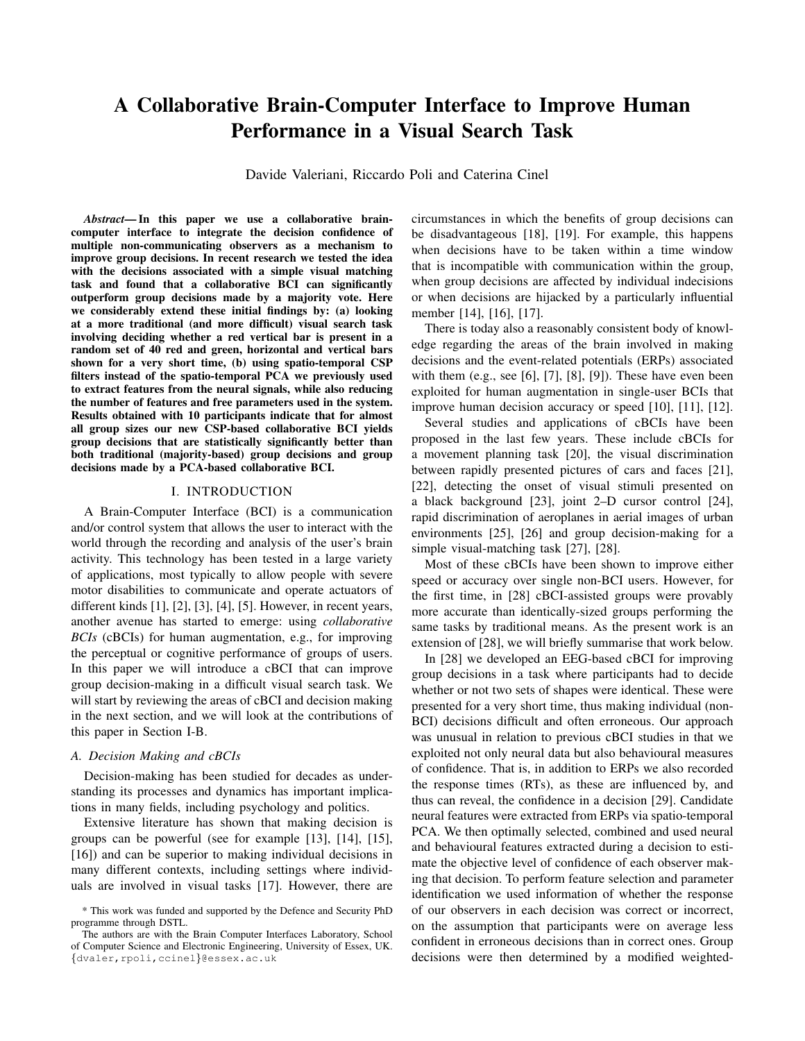# A Collaborative Brain-Computer Interface to Improve Human Performance in a Visual Search Task

Davide Valeriani, Riccardo Poli and Caterina Cinel

*Abstract*— In this paper we use a collaborative braincomputer interface to integrate the decision confidence of multiple non-communicating observers as a mechanism to improve group decisions. In recent research we tested the idea with the decisions associated with a simple visual matching task and found that a collaborative BCI can significantly outperform group decisions made by a majority vote. Here we considerably extend these initial findings by: (a) looking at a more traditional (and more difficult) visual search task involving deciding whether a red vertical bar is present in a random set of 40 red and green, horizontal and vertical bars shown for a very short time, (b) using spatio-temporal CSP filters instead of the spatio-temporal PCA we previously used to extract features from the neural signals, while also reducing the number of features and free parameters used in the system. Results obtained with 10 participants indicate that for almost all group sizes our new CSP-based collaborative BCI yields group decisions that are statistically significantly better than both traditional (majority-based) group decisions and group decisions made by a PCA-based collaborative BCI.

## I. INTRODUCTION

A Brain-Computer Interface (BCI) is a communication and/or control system that allows the user to interact with the world through the recording and analysis of the user's brain activity. This technology has been tested in a large variety of applications, most typically to allow people with severe motor disabilities to communicate and operate actuators of different kinds [1], [2], [3], [4], [5]. However, in recent years, another avenue has started to emerge: using *collaborative BCIs* (cBCIs) for human augmentation, e.g., for improving the perceptual or cognitive performance of groups of users. In this paper we will introduce a cBCI that can improve group decision-making in a difficult visual search task. We will start by reviewing the areas of cBCI and decision making in the next section, and we will look at the contributions of this paper in Section I-B.

#### *A. Decision Making and cBCIs*

Decision-making has been studied for decades as understanding its processes and dynamics has important implications in many fields, including psychology and politics.

Extensive literature has shown that making decision is groups can be powerful (see for example [13], [14], [15], [16]) and can be superior to making individual decisions in many different contexts, including settings where individuals are involved in visual tasks [17]. However, there are circumstances in which the benefits of group decisions can be disadvantageous [18], [19]. For example, this happens when decisions have to be taken within a time window that is incompatible with communication within the group, when group decisions are affected by individual indecisions or when decisions are hijacked by a particularly influential member [14], [16], [17].

There is today also a reasonably consistent body of knowledge regarding the areas of the brain involved in making decisions and the event-related potentials (ERPs) associated with them (e.g., see [6], [7], [8], [9]). These have even been exploited for human augmentation in single-user BCIs that improve human decision accuracy or speed [10], [11], [12].

Several studies and applications of cBCIs have been proposed in the last few years. These include cBCIs for a movement planning task [20], the visual discrimination between rapidly presented pictures of cars and faces [21], [22], detecting the onset of visual stimuli presented on a black background [23], joint 2–D cursor control [24], rapid discrimination of aeroplanes in aerial images of urban environments [25], [26] and group decision-making for a simple visual-matching task [27], [28].

Most of these cBCIs have been shown to improve either speed or accuracy over single non-BCI users. However, for the first time, in [28] cBCI-assisted groups were provably more accurate than identically-sized groups performing the same tasks by traditional means. As the present work is an extension of [28], we will briefly summarise that work below.

In [28] we developed an EEG-based cBCI for improving group decisions in a task where participants had to decide whether or not two sets of shapes were identical. These were presented for a very short time, thus making individual (non-BCI) decisions difficult and often erroneous. Our approach was unusual in relation to previous cBCI studies in that we exploited not only neural data but also behavioural measures of confidence. That is, in addition to ERPs we also recorded the response times (RTs), as these are influenced by, and thus can reveal, the confidence in a decision [29]. Candidate neural features were extracted from ERPs via spatio-temporal PCA. We then optimally selected, combined and used neural and behavioural features extracted during a decision to estimate the objective level of confidence of each observer making that decision. To perform feature selection and parameter identification we used information of whether the response of our observers in each decision was correct or incorrect, on the assumption that participants were on average less confident in erroneous decisions than in correct ones. Group decisions were then determined by a modified weighted-

<sup>\*</sup> This work was funded and supported by the Defence and Security PhD programme through DSTL.

The authors are with the Brain Computer Interfaces Laboratory, School of Computer Science and Electronic Engineering, University of Essex, UK. {dvaler,rpoli,ccinel}@essex.ac.uk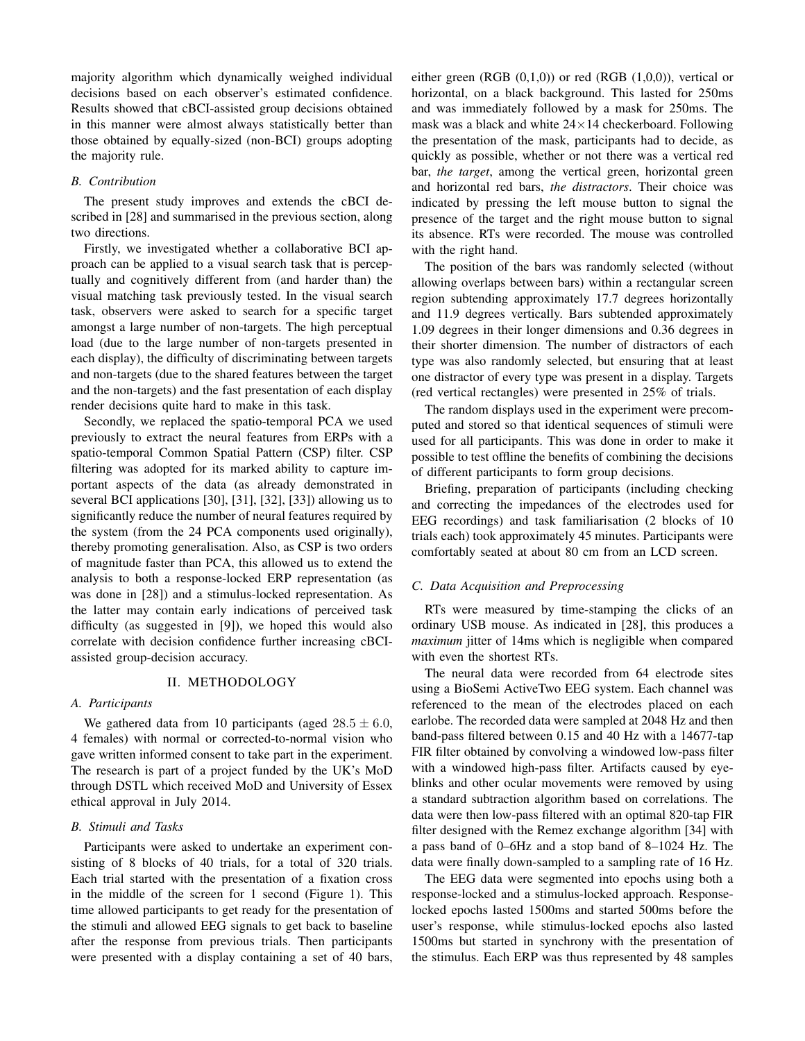majority algorithm which dynamically weighed individual decisions based on each observer's estimated confidence. Results showed that cBCI-assisted group decisions obtained in this manner were almost always statistically better than those obtained by equally-sized (non-BCI) groups adopting the majority rule.

# *B. Contribution*

The present study improves and extends the cBCI described in [28] and summarised in the previous section, along two directions.

Firstly, we investigated whether a collaborative BCI approach can be applied to a visual search task that is perceptually and cognitively different from (and harder than) the visual matching task previously tested. In the visual search task, observers were asked to search for a specific target amongst a large number of non-targets. The high perceptual load (due to the large number of non-targets presented in each display), the difficulty of discriminating between targets and non-targets (due to the shared features between the target and the non-targets) and the fast presentation of each display render decisions quite hard to make in this task.

Secondly, we replaced the spatio-temporal PCA we used previously to extract the neural features from ERPs with a spatio-temporal Common Spatial Pattern (CSP) filter. CSP filtering was adopted for its marked ability to capture important aspects of the data (as already demonstrated in several BCI applications [30], [31], [32], [33]) allowing us to significantly reduce the number of neural features required by the system (from the 24 PCA components used originally), thereby promoting generalisation. Also, as CSP is two orders of magnitude faster than PCA, this allowed us to extend the analysis to both a response-locked ERP representation (as was done in [28]) and a stimulus-locked representation. As the latter may contain early indications of perceived task difficulty (as suggested in [9]), we hoped this would also correlate with decision confidence further increasing cBCIassisted group-decision accuracy.

## II. METHODOLOGY

### *A. Participants*

We gathered data from 10 participants (aged  $28.5 \pm 6.0$ , 4 females) with normal or corrected-to-normal vision who gave written informed consent to take part in the experiment. The research is part of a project funded by the UK's MoD through DSTL which received MoD and University of Essex ethical approval in July 2014.

## *B. Stimuli and Tasks*

Participants were asked to undertake an experiment consisting of 8 blocks of 40 trials, for a total of 320 trials. Each trial started with the presentation of a fixation cross in the middle of the screen for 1 second (Figure 1). This time allowed participants to get ready for the presentation of the stimuli and allowed EEG signals to get back to baseline after the response from previous trials. Then participants were presented with a display containing a set of 40 bars,

either green (RGB (0,1,0)) or red (RGB (1,0,0)), vertical or horizontal, on a black background. This lasted for 250ms and was immediately followed by a mask for 250ms. The mask was a black and white  $24 \times 14$  checkerboard. Following the presentation of the mask, participants had to decide, as quickly as possible, whether or not there was a vertical red bar, *the target*, among the vertical green, horizontal green and horizontal red bars, *the distractors*. Their choice was indicated by pressing the left mouse button to signal the presence of the target and the right mouse button to signal its absence. RTs were recorded. The mouse was controlled with the right hand.

The position of the bars was randomly selected (without allowing overlaps between bars) within a rectangular screen region subtending approximately 17.7 degrees horizontally and 11.9 degrees vertically. Bars subtended approximately 1.09 degrees in their longer dimensions and 0.36 degrees in their shorter dimension. The number of distractors of each type was also randomly selected, but ensuring that at least one distractor of every type was present in a display. Targets (red vertical rectangles) were presented in 25% of trials.

The random displays used in the experiment were precomputed and stored so that identical sequences of stimuli were used for all participants. This was done in order to make it possible to test offline the benefits of combining the decisions of different participants to form group decisions.

Briefing, preparation of participants (including checking and correcting the impedances of the electrodes used for EEG recordings) and task familiarisation (2 blocks of 10 trials each) took approximately 45 minutes. Participants were comfortably seated at about 80 cm from an LCD screen.

# *C. Data Acquisition and Preprocessing*

RTs were measured by time-stamping the clicks of an ordinary USB mouse. As indicated in [28], this produces a *maximum* jitter of 14ms which is negligible when compared with even the shortest RTs.

The neural data were recorded from 64 electrode sites using a BioSemi ActiveTwo EEG system. Each channel was referenced to the mean of the electrodes placed on each earlobe. The recorded data were sampled at 2048 Hz and then band-pass filtered between 0.15 and 40 Hz with a 14677-tap FIR filter obtained by convolving a windowed low-pass filter with a windowed high-pass filter. Artifacts caused by eyeblinks and other ocular movements were removed by using a standard subtraction algorithm based on correlations. The data were then low-pass filtered with an optimal 820-tap FIR filter designed with the Remez exchange algorithm [34] with a pass band of 0–6Hz and a stop band of 8–1024 Hz. The data were finally down-sampled to a sampling rate of 16 Hz.

The EEG data were segmented into epochs using both a response-locked and a stimulus-locked approach. Responselocked epochs lasted 1500ms and started 500ms before the user's response, while stimulus-locked epochs also lasted 1500ms but started in synchrony with the presentation of the stimulus. Each ERP was thus represented by 48 samples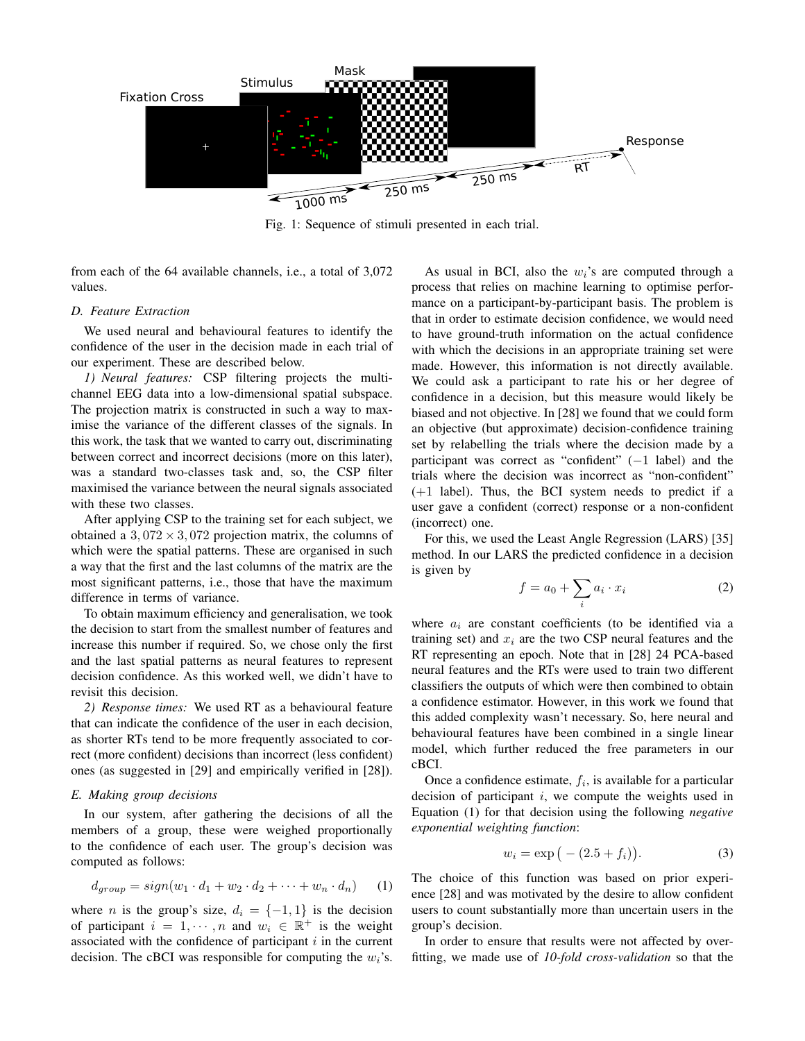

Fig. 1: Sequence of stimuli presented in each trial.

from each of the 64 available channels, i.e., a total of 3,072 values.

## *D. Feature Extraction*

We used neural and behavioural features to identify the confidence of the user in the decision made in each trial of our experiment. These are described below.

*1) Neural features:* CSP filtering projects the multichannel EEG data into a low-dimensional spatial subspace. The projection matrix is constructed in such a way to maximise the variance of the different classes of the signals. In this work, the task that we wanted to carry out, discriminating between correct and incorrect decisions (more on this later), was a standard two-classes task and, so, the CSP filter maximised the variance between the neural signals associated with these two classes.

After applying CSP to the training set for each subject, we obtained a  $3,072 \times 3,072$  projection matrix, the columns of which were the spatial patterns. These are organised in such a way that the first and the last columns of the matrix are the most significant patterns, i.e., those that have the maximum difference in terms of variance.

To obtain maximum efficiency and generalisation, we took the decision to start from the smallest number of features and increase this number if required. So, we chose only the first and the last spatial patterns as neural features to represent decision confidence. As this worked well, we didn't have to revisit this decision.

*2) Response times:* We used RT as a behavioural feature that can indicate the confidence of the user in each decision, as shorter RTs tend to be more frequently associated to correct (more confident) decisions than incorrect (less confident) ones (as suggested in [29] and empirically verified in [28]).

# *E. Making group decisions*

In our system, after gathering the decisions of all the members of a group, these were weighed proportionally to the confidence of each user. The group's decision was computed as follows:

$$
d_{group} = sign(w_1 \cdot d_1 + w_2 \cdot d_2 + \dots + w_n \cdot d_n)
$$
 (1)

where *n* is the group's size,  $d_i = \{-1, 1\}$  is the decision of participant  $i = 1, \dots, n$  and  $w_i \in \mathbb{R}^+$  is the weight associated with the confidence of participant  $i$  in the current decision. The cBCI was responsible for computing the  $w_i$ 's.

As usual in BCI, also the  $w_i$ 's are computed through a process that relies on machine learning to optimise performance on a participant-by-participant basis. The problem is that in order to estimate decision confidence, we would need to have ground-truth information on the actual confidence with which the decisions in an appropriate training set were made. However, this information is not directly available. We could ask a participant to rate his or her degree of confidence in a decision, but this measure would likely be biased and not objective. In [28] we found that we could form an objective (but approximate) decision-confidence training set by relabelling the trials where the decision made by a participant was correct as "confident" (−1 label) and the trials where the decision was incorrect as "non-confident" (+1 label). Thus, the BCI system needs to predict if a user gave a confident (correct) response or a non-confident (incorrect) one.

For this, we used the Least Angle Regression (LARS) [35] method. In our LARS the predicted confidence in a decision is given by

$$
f = a_0 + \sum_i a_i \cdot x_i \tag{2}
$$

where  $a_i$  are constant coefficients (to be identified via a training set) and  $x_i$  are the two CSP neural features and the RT representing an epoch. Note that in [28] 24 PCA-based neural features and the RTs were used to train two different classifiers the outputs of which were then combined to obtain a confidence estimator. However, in this work we found that this added complexity wasn't necessary. So, here neural and behavioural features have been combined in a single linear model, which further reduced the free parameters in our cBCI.

Once a confidence estimate,  $f_i$ , is available for a particular decision of participant  $i$ , we compute the weights used in Equation (1) for that decision using the following *negative exponential weighting function*:

$$
w_i = \exp(-(2.5 + f_i)).
$$
 (3)

The choice of this function was based on prior experience [28] and was motivated by the desire to allow confident users to count substantially more than uncertain users in the group's decision.

In order to ensure that results were not affected by overfitting, we made use of *10-fold cross-validation* so that the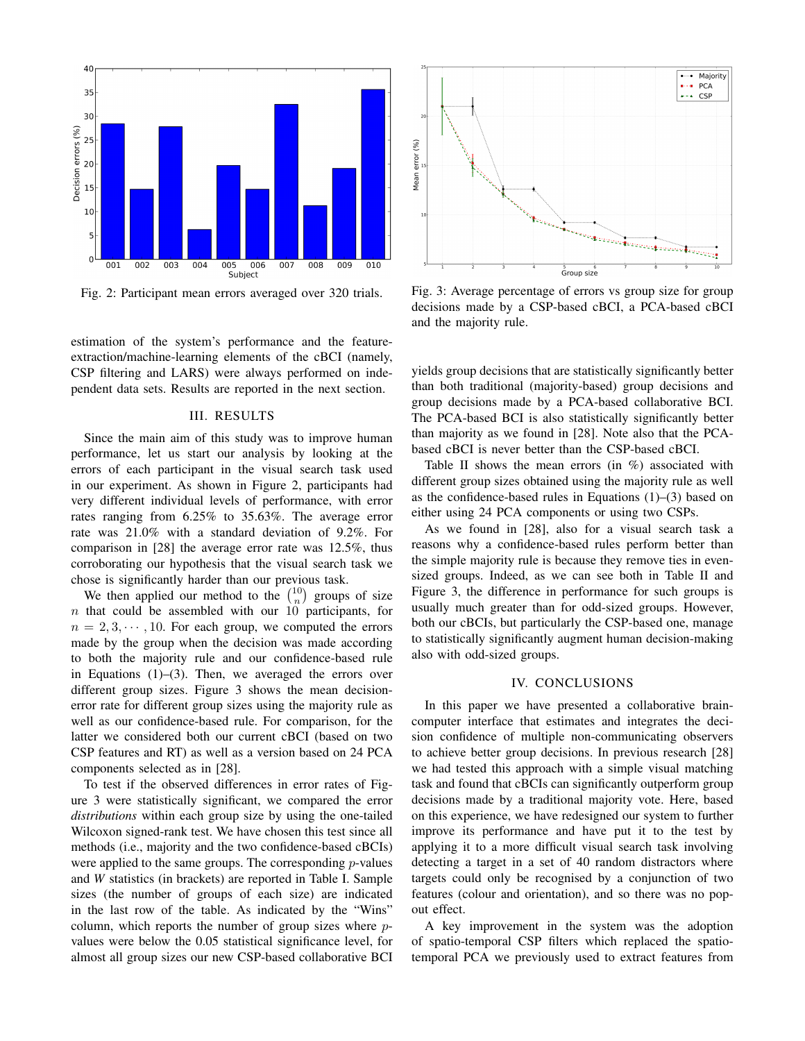

Fig. 2: Participant mean errors averaged over 320 trials.

estimation of the system's performance and the featureextraction/machine-learning elements of the cBCI (namely, CSP filtering and LARS) were always performed on independent data sets. Results are reported in the next section.

## III. RESULTS

Since the main aim of this study was to improve human performance, let us start our analysis by looking at the errors of each participant in the visual search task used in our experiment. As shown in Figure 2, participants had very different individual levels of performance, with error rates ranging from 6.25% to 35.63%. The average error rate was 21.0% with a standard deviation of 9.2%. For comparison in [28] the average error rate was 12.5%, thus corroborating our hypothesis that the visual search task we chose is significantly harder than our previous task.

We then applied our method to the  $\binom{10}{n}$  groups of size  $n$  that could be assembled with our 10 participants, for  $n = 2, 3, \dots, 10$ . For each group, we computed the errors made by the group when the decision was made according to both the majority rule and our confidence-based rule in Equations (1)–(3). Then, we averaged the errors over different group sizes. Figure 3 shows the mean decisionerror rate for different group sizes using the majority rule as well as our confidence-based rule. For comparison, for the latter we considered both our current cBCI (based on two CSP features and RT) as well as a version based on 24 PCA components selected as in [28].

To test if the observed differences in error rates of Figure 3 were statistically significant, we compared the error *distributions* within each group size by using the one-tailed Wilcoxon signed-rank test. We have chosen this test since all methods (i.e., majority and the two confidence-based cBCIs) were applied to the same groups. The corresponding  $p$ -values and *W* statistics (in brackets) are reported in Table I. Sample sizes (the number of groups of each size) are indicated in the last row of the table. As indicated by the "Wins" column, which reports the number of group sizes where pvalues were below the 0.05 statistical significance level, for almost all group sizes our new CSP-based collaborative BCI



Fig. 3: Average percentage of errors vs group size for group decisions made by a CSP-based cBCI, a PCA-based cBCI and the majority rule.

yields group decisions that are statistically significantly better than both traditional (majority-based) group decisions and group decisions made by a PCA-based collaborative BCI. The PCA-based BCI is also statistically significantly better than majority as we found in [28]. Note also that the PCAbased cBCI is never better than the CSP-based cBCI.

Table II shows the mean errors (in %) associated with different group sizes obtained using the majority rule as well as the confidence-based rules in Equations (1)–(3) based on either using 24 PCA components or using two CSPs.

As we found in [28], also for a visual search task a reasons why a confidence-based rules perform better than the simple majority rule is because they remove ties in evensized groups. Indeed, as we can see both in Table II and Figure 3, the difference in performance for such groups is usually much greater than for odd-sized groups. However, both our cBCIs, but particularly the CSP-based one, manage to statistically significantly augment human decision-making also with odd-sized groups.

#### IV. CONCLUSIONS

In this paper we have presented a collaborative braincomputer interface that estimates and integrates the decision confidence of multiple non-communicating observers to achieve better group decisions. In previous research [28] we had tested this approach with a simple visual matching task and found that cBCIs can significantly outperform group decisions made by a traditional majority vote. Here, based on this experience, we have redesigned our system to further improve its performance and have put it to the test by applying it to a more difficult visual search task involving detecting a target in a set of 40 random distractors where targets could only be recognised by a conjunction of two features (colour and orientation), and so there was no popout effect.

A key improvement in the system was the adoption of spatio-temporal CSP filters which replaced the spatiotemporal PCA we previously used to extract features from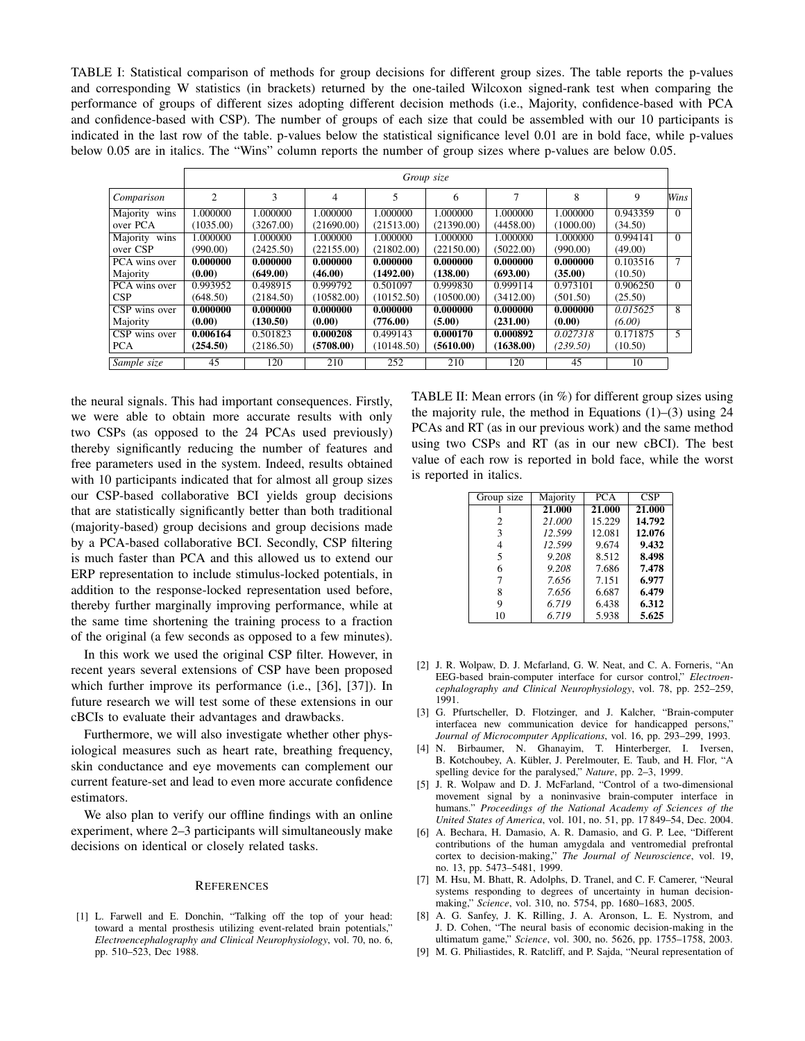TABLE I: Statistical comparison of methods for group decisions for different group sizes. The table reports the p-values and corresponding W statistics (in brackets) returned by the one-tailed Wilcoxon signed-rank test when comparing the performance of groups of different sizes adopting different decision methods (i.e., Majority, confidence-based with PCA and confidence-based with CSP). The number of groups of each size that could be assembled with our 10 participants is indicated in the last row of the table. p-values below the statistical significance level 0.01 are in bold face, while p-values below 0.05 are in italics. The "Wins" column reports the number of group sizes where p-values are below 0.05.

|               | Group size     |           |            |            |            |           |           |          |                |
|---------------|----------------|-----------|------------|------------|------------|-----------|-----------|----------|----------------|
| Comparison    | $\overline{c}$ | 3         | 4          | 5          | 6          | 7         | 8         | 9        | Wins           |
| Majority wins | 1.000000       | 1.000000  | 1.000000   | 1.000000   | 1.000000   | 1.000000  | 1.000000  | 0.943359 | $\overline{0}$ |
| over PCA      | (1035.00)      | (3267.00) | (21690.00) | (21513.00) | (21390.00) | (4458.00) | (1000.00) | (34.50)  |                |
| Majority wins | 1.000000       | 1.000000  | 1.000000   | 1.000000   | 1.000000   | 1.000000  | 1.000000  | 0.994141 | $\Omega$       |
| over CSP      | (990.00)       | (2425.50) | (22155.00) | (21802.00) | (22150.00) | (5022.00) | (990.00)  | (49.00)  |                |
| PCA wins over | 0.000000       | 0.000000  | 0.000000   | 0.000000   | 0.000000   | 0.000000  | 0.000000  | 0.103516 | 7              |
| Majority      | (0.00)         | (649.00)  | (46.00)    | (1492.00)  | (138.00)   | (693.00)  | (35.00)   | (10.50)  |                |
| PCA wins over | 0.993952       | 0.498915  | 0.999792   | 0.501097   | 0.999830   | 0.999114  | 0.973101  | 0.906250 | $\Omega$       |
| CSP           | (648.50)       | (2184.50) | (10582.00) | (10152.50) | (10500.00) | (3412.00) | (501.50)  | (25.50)  |                |
| CSP wins over | 0.000000       | 0.000000  | 0.000000   | 0.000000   | 0.000000   | 0.000000  | 0.000000  | 0.015625 | 8              |
| Majority      | (0.00)         | (130.50)  | (0.00)     | (776.00)   | (5.00)     | (231.00)  | (0.00)    | (6.00)   |                |
| CSP wins over | 0.006164       | 0.501823  | 0.000208   | 0.499143   | 0.000170   | 0.000892  | 0.027318  | 0.171875 | 5              |
| <b>PCA</b>    | (254.50)       | (2186.50) | (5708.00)  | (10148.50) | (5610.00)  | (1638.00) | (239.50)  | (10.50)  |                |
| Sample size   | 45             | 120       | 210        | 252        | 210        | 120       | 45        | 10       |                |

the neural signals. This had important consequences. Firstly, we were able to obtain more accurate results with only two CSPs (as opposed to the 24 PCAs used previously) thereby significantly reducing the number of features and free parameters used in the system. Indeed, results obtained with 10 participants indicated that for almost all group sizes our CSP-based collaborative BCI yields group decisions that are statistically significantly better than both traditional (majority-based) group decisions and group decisions made by a PCA-based collaborative BCI. Secondly, CSP filtering is much faster than PCA and this allowed us to extend our ERP representation to include stimulus-locked potentials, in addition to the response-locked representation used before, thereby further marginally improving performance, while at the same time shortening the training process to a fraction of the original (a few seconds as opposed to a few minutes).

In this work we used the original CSP filter. However, in recent years several extensions of CSP have been proposed which further improve its performance (i.e., [36], [37]). In future research we will test some of these extensions in our cBCIs to evaluate their advantages and drawbacks.

Furthermore, we will also investigate whether other physiological measures such as heart rate, breathing frequency, skin conductance and eye movements can complement our current feature-set and lead to even more accurate confidence estimators.

We also plan to verify our offline findings with an online experiment, where 2–3 participants will simultaneously make decisions on identical or closely related tasks.

## **REFERENCES**

[1] L. Farwell and E. Donchin, "Talking off the top of your head: toward a mental prosthesis utilizing event-related brain potentials," *Electroencephalography and Clinical Neurophysiology*, vol. 70, no. 6, pp. 510–523, Dec 1988.

TABLE II: Mean errors (in %) for different group sizes using the majority rule, the method in Equations  $(1)$ – $(3)$  using 24 PCAs and RT (as in our previous work) and the same method using two CSPs and RT (as in our new cBCI). The best value of each row is reported in bold face, while the worst is reported in italics.

| Group size     | Majority | <b>PCA</b> | <b>CSP</b> |
|----------------|----------|------------|------------|
|                | 21.000   | 21.000     | 21.000     |
| $\overline{c}$ | 21.000   | 15.229     | 14.792     |
| 3              | 12.599   | 12.081     | 12.076     |
| 4              | 12.599   | 9.674      | 9.432      |
| 5              | 9.208    | 8.512      | 8.498      |
| 6              | 9.208    | 7.686      | 7.478      |
| 7              | 7.656    | 7.151      | 6.977      |
| 8              | 7.656    | 6.687      | 6.479      |
| 9              | 6.719    | 6.438      | 6.312      |
| 10             | 6.719    | 5.938      | 5.625      |
|                |          |            |            |

- [2] J. R. Wolpaw, D. J. Mcfarland, G. W. Neat, and C. A. Forneris, "An EEG-based brain-computer interface for cursor control," *Electroencephalography and Clinical Neurophysiology*, vol. 78, pp. 252–259, 1991.
- [3] G. Pfurtscheller, D. Flotzinger, and J. Kalcher, "Brain-computer interfacea new communication device for handicapped persons," *Journal of Microcomputer Applications*, vol. 16, pp. 293–299, 1993.
- [4] N. Birbaumer, N. Ghanayim, T. Hinterberger, I. Iversen, B. Kotchoubey, A. Kübler, J. Perelmouter, E. Taub, and H. Flor, "A spelling device for the paralysed," *Nature*, pp. 2–3, 1999.
- [5] J. R. Wolpaw and D. J. McFarland, "Control of a two-dimensional movement signal by a noninvasive brain-computer interface in humans." *Proceedings of the National Academy of Sciences of the United States of America*, vol. 101, no. 51, pp. 17 849–54, Dec. 2004.
- [6] A. Bechara, H. Damasio, A. R. Damasio, and G. P. Lee, "Different contributions of the human amygdala and ventromedial prefrontal cortex to decision-making," *The Journal of Neuroscience*, vol. 19, no. 13, pp. 5473–5481, 1999.
- [7] M. Hsu, M. Bhatt, R. Adolphs, D. Tranel, and C. F. Camerer, "Neural systems responding to degrees of uncertainty in human decisionmaking," *Science*, vol. 310, no. 5754, pp. 1680–1683, 2005.
- [8] A. G. Sanfey, J. K. Rilling, J. A. Aronson, L. E. Nystrom, and J. D. Cohen, "The neural basis of economic decision-making in the ultimatum game," *Science*, vol. 300, no. 5626, pp. 1755–1758, 2003.
- [9] M. G. Philiastides, R. Ratcliff, and P. Sajda, "Neural representation of